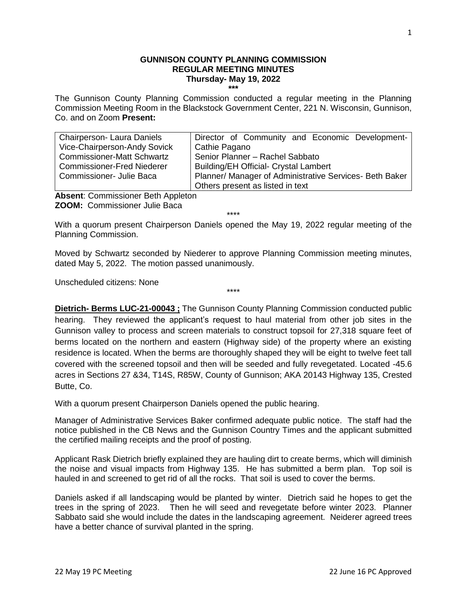### **GUNNISON COUNTY PLANNING COMMISSION REGULAR MEETING MINUTES Thursday- May 19, 2022 \*\*\***

The Gunnison County Planning Commission conducted a regular meeting in the Planning Commission Meeting Room in the Blackstock Government Center, 221 N. Wisconsin, Gunnison, Co. and on Zoom **Present:**

| <b>Chairperson-Laura Daniels</b>  | Director of Community and Economic Development-         |
|-----------------------------------|---------------------------------------------------------|
| Vice-Chairperson-Andy Sovick      | Cathie Pagano                                           |
| <b>Commissioner-Matt Schwartz</b> | Senior Planner - Rachel Sabbato                         |
| <b>Commissioner-Fred Niederer</b> | <b>Building/EH Official- Crystal Lambert</b>            |
| Commissioner- Julie Baca          | Planner/ Manager of Administrative Services- Beth Baker |
|                                   | Others present as listed in text                        |

**Absent**: Commissioner Beth Appleton **ZOOM:** Commissioner Julie Baca

\*\*\*\*

With a quorum present Chairperson Daniels opened the May 19, 2022 regular meeting of the Planning Commission.

Moved by Schwartz seconded by Niederer to approve Planning Commission meeting minutes, dated May 5, 2022. The motion passed unanimously.

\*\*\*\*

Unscheduled citizens: None

**Dietrich- Berms LUC-21-00043 ;** The Gunnison County Planning Commission conducted public hearing. They reviewed the applicant's request to haul material from other job sites in the Gunnison valley to process and screen materials to construct topsoil for 27,318 square feet of berms located on the northern and eastern (Highway side) of the property where an existing residence is located. When the berms are thoroughly shaped they will be eight to twelve feet tall covered with the screened topsoil and then will be seeded and fully revegetated. Located -45.6 acres in Sections 27 &34, T14S, R85W, County of Gunnison; AKA 20143 Highway 135, Crested Butte, Co.

With a quorum present Chairperson Daniels opened the public hearing.

Manager of Administrative Services Baker confirmed adequate public notice. The staff had the notice published in the CB News and the Gunnison Country Times and the applicant submitted the certified mailing receipts and the proof of posting.

Applicant Rask Dietrich briefly explained they are hauling dirt to create berms, which will diminish the noise and visual impacts from Highway 135. He has submitted a berm plan. Top soil is hauled in and screened to get rid of all the rocks. That soil is used to cover the berms.

Daniels asked if all landscaping would be planted by winter. Dietrich said he hopes to get the trees in the spring of 2023. Then he will seed and revegetate before winter 2023. Planner Sabbato said she would include the dates in the landscaping agreement. Neiderer agreed trees have a better chance of survival planted in the spring.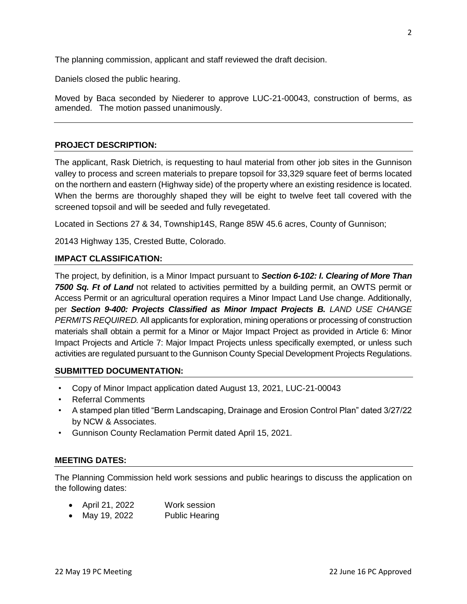The planning commission, applicant and staff reviewed the draft decision.

Daniels closed the public hearing.

Moved by Baca seconded by Niederer to approve LUC-21-00043, construction of berms, as amended. The motion passed unanimously.

### **PROJECT DESCRIPTION:**

The applicant, Rask Dietrich, is requesting to haul material from other job sites in the Gunnison valley to process and screen materials to prepare topsoil for 33,329 square feet of berms located on the northern and eastern (Highway side) of the property where an existing residence is located. When the berms are thoroughly shaped they will be eight to twelve feet tall covered with the screened topsoil and will be seeded and fully revegetated.

Located in Sections 27 & 34, Township14S, Range 85W 45.6 acres, County of Gunnison;

20143 Highway 135, Crested Butte, Colorado.

### **IMPACT CLASSIFICATION:**

The project, by definition, is a Minor Impact pursuant to *Section 6-102: I. Clearing of More Than 7500 Sq. Ft of Land* not related to activities permitted by a building permit, an OWTS permit or Access Permit or an agricultural operation requires a Minor Impact Land Use change. Additionally, per *Section 9-400: Projects Classified as Minor Impact Projects B. LAND USE CHANGE PERMITS REQUIRED.* All applicants for exploration, mining operations or processing of construction materials shall obtain a permit for a Minor or Major Impact Project as provided in Article 6: Minor Impact Projects and Article 7: Major Impact Projects unless specifically exempted, or unless such activities are regulated pursuant to the Gunnison County Special Development Projects Regulations.

### **SUBMITTED DOCUMENTATION:**

- Copy of Minor Impact application dated August 13, 2021, LUC-21-00043
- Referral Comments
- A stamped plan titled "Berm Landscaping, Drainage and Erosion Control Plan" dated 3/27/22 by NCW & Associates.
- Gunnison County Reclamation Permit dated April 15, 2021.

### **MEETING DATES:**

The Planning Commission held work sessions and public hearings to discuss the application on the following dates:

- April 21, 2022 Work session
- May 19, 2022 Public Hearing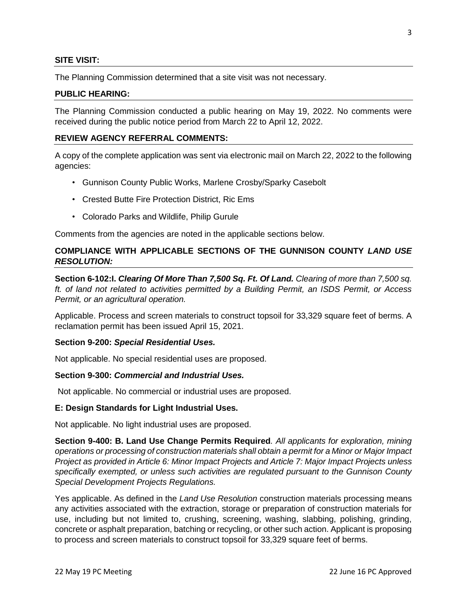### **SITE VISIT:**

The Planning Commission determined that a site visit was not necessary.

#### **PUBLIC HEARING:**

The Planning Commission conducted a public hearing on May 19, 2022. No comments were received during the public notice period from March 22 to April 12, 2022.

### **REVIEW AGENCY REFERRAL COMMENTS:**

A copy of the complete application was sent via electronic mail on March 22, 2022 to the following agencies:

- Gunnison County Public Works, Marlene Crosby/Sparky Casebolt
- Crested Butte Fire Protection District, Ric Ems
- Colorado Parks and Wildlife, Philip Gurule

Comments from the agencies are noted in the applicable sections below.

### **COMPLIANCE WITH APPLICABLE SECTIONS OF THE GUNNISON COUNTY** *LAND USE RESOLUTION:*

**Section 6-102:I.** *Clearing Of More Than 7,500 Sq. Ft. Of Land. Clearing of more than 7,500 sq. ft. of land not related to activities permitted by a Building Permit, an ISDS Permit, or Access Permit, or an agricultural operation.*

Applicable. Process and screen materials to construct topsoil for 33,329 square feet of berms. A reclamation permit has been issued April 15, 2021.

### **Section 9-200:** *Special Residential Uses.*

Not applicable. No special residential uses are proposed.

### **Section 9-300:** *Commercial and Industrial Uses.*

Not applicable. No commercial or industrial uses are proposed.

#### **E: Design Standards for Light Industrial Uses.**

Not applicable. No light industrial uses are proposed.

**Section 9-400: B. Land Use Change Permits Required***. All applicants for exploration, mining operations or processing of construction materials shall obtain a permit for a Minor or Major Impact Project as provided in Article 6: Minor Impact Projects and Article 7: Major Impact Projects unless specifically exempted, or unless such activities are regulated pursuant to the Gunnison County Special Development Projects Regulations.*

Yes applicable. As defined in the *Land Use Resolution* construction materials processing means any activities associated with the extraction, storage or preparation of construction materials for use, including but not limited to, crushing, screening, washing, slabbing, polishing, grinding, concrete or asphalt preparation, batching or recycling, or other such action. Applicant is proposing to process and screen materials to construct topsoil for 33,329 square feet of berms.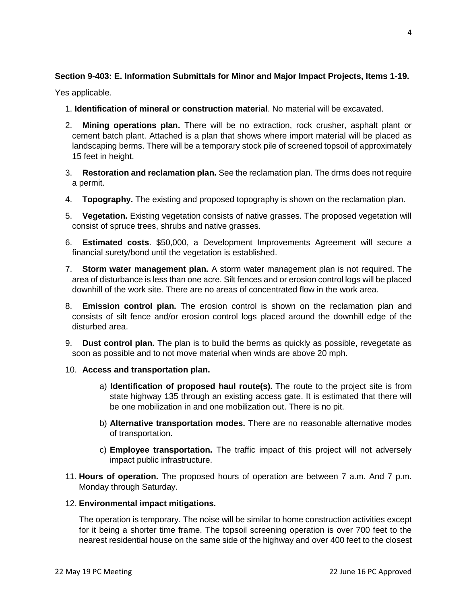# **Section 9-403: E. Information Submittals for Minor and Major Impact Projects, Items 1-19.**

Yes applicable.

- 1. **Identification of mineral or construction material**. No material will be excavated.
- 2. **Mining operations plan.** There will be no extraction, rock crusher, asphalt plant or cement batch plant. Attached is a plan that shows where import material will be placed as landscaping berms. There will be a temporary stock pile of screened topsoil of approximately 15 feet in height.
- 3. **Restoration and reclamation plan.** See the reclamation plan. The drms does not require a permit.
- 4. **Topography.** The existing and proposed topography is shown on the reclamation plan.
- 5. **Vegetation.** Existing vegetation consists of native grasses. The proposed vegetation will consist of spruce trees, shrubs and native grasses.
- 6. **Estimated costs**. \$50,000, a Development Improvements Agreement will secure a financial surety/bond until the vegetation is established.
- 7. **Storm water management plan.** A storm water management plan is not required. The area of disturbance is less than one acre. Silt fences and or erosion control logs will be placed downhill of the work site. There are no areas of concentrated flow in the work area.
- 8. **Emission control plan.** The erosion control is shown on the reclamation plan and consists of silt fence and/or erosion control logs placed around the downhill edge of the disturbed area.
- 9. **Dust control plan.** The plan is to build the berms as quickly as possible, revegetate as soon as possible and to not move material when winds are above 20 mph.

## 10. **Access and transportation plan.**

- a) **Identification of proposed haul route(s).** The route to the project site is from state highway 135 through an existing access gate. It is estimated that there will be one mobilization in and one mobilization out. There is no pit.
- b) **Alternative transportation modes.** There are no reasonable alternative modes of transportation.
- c) **Employee transportation.** The traffic impact of this project will not adversely impact public infrastructure.
- 11. **Hours of operation.** The proposed hours of operation are between 7 a.m. And 7 p.m. Monday through Saturday.

## 12. **Environmental impact mitigations.**

The operation is temporary. The noise will be similar to home construction activities except for it being a shorter time frame. The topsoil screening operation is over 700 feet to the nearest residential house on the same side of the highway and over 400 feet to the closest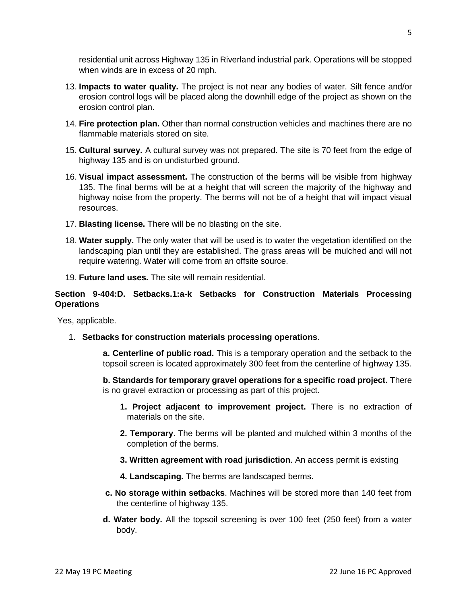residential unit across Highway 135 in Riverland industrial park. Operations will be stopped when winds are in excess of 20 mph.

- 13. **Impacts to water quality.** The project is not near any bodies of water. Silt fence and/or erosion control logs will be placed along the downhill edge of the project as shown on the erosion control plan.
- 14. **Fire protection plan.** Other than normal construction vehicles and machines there are no flammable materials stored on site.
- 15. **Cultural survey.** A cultural survey was not prepared. The site is 70 feet from the edge of highway 135 and is on undisturbed ground.
- 16. **Visual impact assessment.** The construction of the berms will be visible from highway 135. The final berms will be at a height that will screen the majority of the highway and highway noise from the property. The berms will not be of a height that will impact visual resources.
- 17. **Blasting license.** There will be no blasting on the site.
- 18. **Water supply.** The only water that will be used is to water the vegetation identified on the landscaping plan until they are established. The grass areas will be mulched and will not require watering. Water will come from an offsite source.
- 19. **Future land uses.** The site will remain residential.

## **Section 9-404:D. Setbacks.1:a-k Setbacks for Construction Materials Processing Operations**

Yes, applicable.

1. **Setbacks for construction materials processing operations**.

 **a. Centerline of public road.** This is a temporary operation and the setback to the topsoil screen is located approximately 300 feet from the centerline of highway 135.

 **b. Standards for temporary gravel operations for a specific road project.** There is no gravel extraction or processing as part of this project.

- **1. Project adjacent to improvement project.** There is no extraction of materials on the site.
- **2. Temporary**. The berms will be planted and mulched within 3 months of the completion of the berms.
- **3. Written agreement with road jurisdiction**. An access permit is existing
- **4. Landscaping.** The berms are landscaped berms.
- **c. No storage within setbacks**. Machines will be stored more than 140 feet from the centerline of highway 135.
- **d. Water body.** All the topsoil screening is over 100 feet (250 feet) from a water body.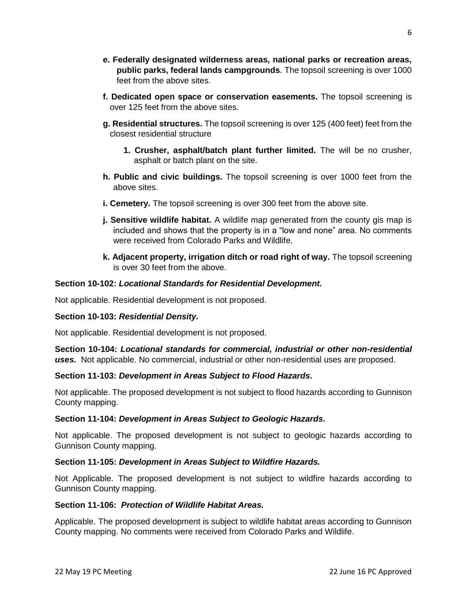- **e. Federally designated wilderness areas, national parks or recreation areas, public parks, federal lands campgrounds**. The topsoil screening is over 1000 feet from the above sites.
- **f. Dedicated open space or conservation easements.** The topsoil screening is over 125 feet from the above sites.
- **g. Residential structures.** The topsoil screening is over 125 (400 feet) feet from the closest residential structure
	- **1. Crusher, asphalt/batch plant further limited.** The will be no crusher, asphalt or batch plant on the site.
- **h. Public and civic buildings.** The topsoil screening is over 1000 feet from the above sites.
- **i. Cemetery.** The topsoil screening is over 300 feet from the above site.
- **j. Sensitive wildlife habitat.** A wildlife map generated from the county gis map is included and shows that the property is in a "low and none" area. No comments were received from Colorado Parks and Wildlife.
- **k. Adjacent property, irrigation ditch or road right of way.** The topsoil screening is over 30 feet from the above.

## **Section 10-102:** *Locational Standards for Residential Development.*

Not applicable. Residential development is not proposed.

## **Section 10-103:** *Residential Density.*

Not applicable. Residential development is not proposed.

**Section 10-104:** *Locational standards for commercial, industrial or other non-residential uses.*Not applicable. No commercial, industrial or other non-residential uses are proposed.

### **Section 11-103:** *Development in Areas Subject to Flood Hazards***.**

Not applicable. The proposed development is not subject to flood hazards according to Gunnison County mapping.

### **Section 11-104:** *Development in Areas Subject to Geologic Hazards***.**

Not applicable. The proposed development is not subject to geologic hazards according to Gunnison County mapping.

### **Section 11-105:** *Development in Areas Subject to Wildfire Hazards.*

Not Applicable. The proposed development is not subject to wildfire hazards according to Gunnison County mapping.

### **Section 11-106:** *Protection of Wildlife Habitat Areas.*

Applicable. The proposed development is subject to wildlife habitat areas according to Gunnison County mapping. No comments were received from Colorado Parks and Wildlife.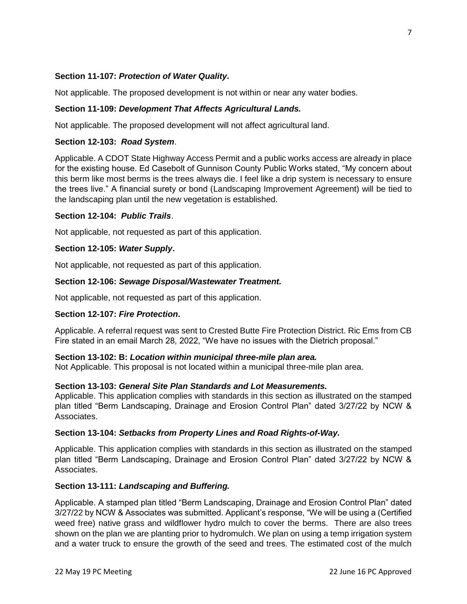### **Section 11-107:** *Protection of Water Quality***.**

Not applicable. The proposed development is not within or near any water bodies.

### **Section 11-109:** *Development That Affects Agricultural Lands.*

Not applicable. The proposed development will not affect agricultural land.

### **Section 12-103:** *Road System*.

Applicable. A CDOT State Highway Access Permit and a public works access are already in place for the existing house. Ed Casebolt of Gunnison County Public Works stated, "My concern about this berm like most berms is the trees always die. I feel like a drip system is necessary to ensure the trees live." A financial surety or bond (Landscaping Improvement Agreement) will be tied to the landscaping plan until the new vegetation is established.

### **Section 12-104:** *Public Trails*.

Not applicable, not requested as part of this application.

### **Section 12-105:** *Water Supply***.**

Not applicable, not requested as part of this application.

### **Section 12-106:** *Sewage Disposal/Wastewater Treatment.*

Not applicable, not requested as part of this application.

### **Section 12-107:** *Fire Protection***.**

Applicable. A referral request was sent to Crested Butte Fire Protection District. Ric Ems from CB Fire stated in an email March 28, 2022, "We have no issues with the Dietrich proposal."

### **Section 13-102: B:** *Location within municipal three-mile plan area.*

Not Applicable. This proposal is not located within a municipal three-mile plan area.

### **Section 13-103:** *General Site Plan Standards and Lot Measurements.*

Applicable. This application complies with standards in this section as illustrated on the stamped plan titled "Berm Landscaping, Drainage and Erosion Control Plan" dated 3/27/22 by NCW & Associates.

### **Section 13-104:** *Setbacks from Property Lines and Road Rights-of-Way.*

Applicable. This application complies with standards in this section as illustrated on the stamped plan titled "Berm Landscaping, Drainage and Erosion Control Plan" dated 3/27/22 by NCW & Associates.

### **Section 13-111:** *Landscaping and Buffering.*

Applicable. A stamped plan titled "Berm Landscaping, Drainage and Erosion Control Plan" dated 3/27/22 by NCW & Associates was submitted. Applicant's response, "We will be using a (Certified weed free) native grass and wildflower hydro mulch to cover the berms. There are also trees shown on the plan we are planting prior to hydromulch. We plan on using a temp irrigation system and a water truck to ensure the growth of the seed and trees. The estimated cost of the mulch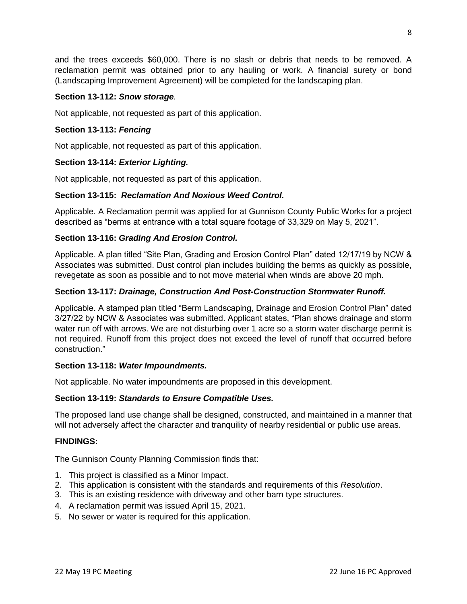and the trees exceeds \$60,000. There is no slash or debris that needs to be removed. A reclamation permit was obtained prior to any hauling or work. A financial surety or bond (Landscaping Improvement Agreement) will be completed for the landscaping plan.

## **Section 13-112:** *Snow storage.*

Not applicable, not requested as part of this application.

## **Section 13-113:** *Fencing*

Not applicable, not requested as part of this application.

## **Section 13-114:** *Exterior Lighting.*

Not applicable, not requested as part of this application.

## **Section 13-115:** *Reclamation And Noxious Weed Control.*

Applicable. A Reclamation permit was applied for at Gunnison County Public Works for a project described as "berms at entrance with a total square footage of 33,329 on May 5, 2021".

## **Section 13-116:** *Grading And Erosion Control.*

Applicable. A plan titled "Site Plan, Grading and Erosion Control Plan" dated 12/17/19 by NCW & Associates was submitted. Dust control plan includes building the berms as quickly as possible, revegetate as soon as possible and to not move material when winds are above 20 mph.

## **Section 13-117:** *Drainage, Construction And Post-Construction Stormwater Runoff.*

Applicable. A stamped plan titled "Berm Landscaping, Drainage and Erosion Control Plan" dated 3/27/22 by NCW & Associates was submitted. Applicant states, "Plan shows drainage and storm water run off with arrows. We are not disturbing over 1 acre so a storm water discharge permit is not required. Runoff from this project does not exceed the level of runoff that occurred before construction."

### **Section 13-118:** *Water Impoundments.*

Not applicable. No water impoundments are proposed in this development.

## **Section 13-119:** *Standards to Ensure Compatible Uses.*

The proposed land use change shall be designed, constructed, and maintained in a manner that will not adversely affect the character and tranquility of nearby residential or public use areas.

### **FINDINGS:**

The Gunnison County Planning Commission finds that:

- 1. This project is classified as a Minor Impact.
- 2. This application is consistent with the standards and requirements of this *Resolution*.
- 3. This is an existing residence with driveway and other barn type structures.
- 4. A reclamation permit was issued April 15, 2021.
- 5. No sewer or water is required for this application.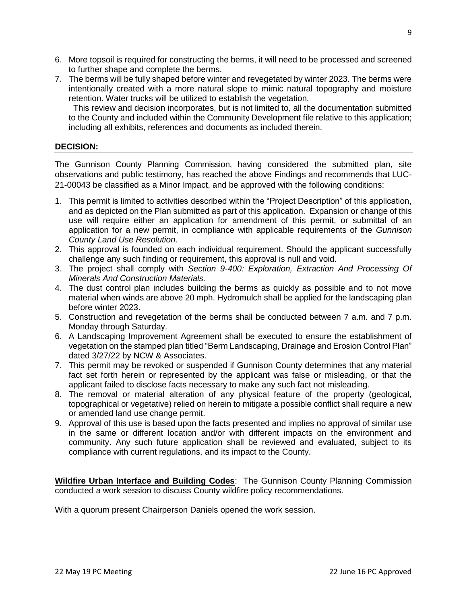- 6. More topsoil is required for constructing the berms, it will need to be processed and screened to further shape and complete the berms.
- 7. The berms will be fully shaped before winter and revegetated by winter 2023. The berms were intentionally created with a more natural slope to mimic natural topography and moisture retention. Water trucks will be utilized to establish the vegetation.

 This review and decision incorporates, but is not limited to, all the documentation submitted to the County and included within the Community Development file relative to this application; including all exhibits, references and documents as included therein.

### **DECISION:**

The Gunnison County Planning Commission, having considered the submitted plan, site observations and public testimony, has reached the above Findings and recommends that LUC-21-00043 be classified as a Minor Impact, and be approved with the following conditions:

- 1. This permit is limited to activities described within the "Project Description" of this application, and as depicted on the Plan submitted as part of this application. Expansion or change of this use will require either an application for amendment of this permit, or submittal of an application for a new permit, in compliance with applicable requirements of the *Gunnison County Land Use Resolution*.
- 2. This approval is founded on each individual requirement. Should the applicant successfully challenge any such finding or requirement, this approval is null and void.
- 3. The project shall comply with *Section 9-400: Exploration, Extraction And Processing Of Minerals And Construction Materials.*
- 4. The dust control plan includes building the berms as quickly as possible and to not move material when winds are above 20 mph. Hydromulch shall be applied for the landscaping plan before winter 2023.
- 5. Construction and revegetation of the berms shall be conducted between 7 a.m. and 7 p.m. Monday through Saturday.
- 6. A Landscaping Improvement Agreement shall be executed to ensure the establishment of vegetation on the stamped plan titled "Berm Landscaping, Drainage and Erosion Control Plan" dated 3/27/22 by NCW & Associates.
- 7. This permit may be revoked or suspended if Gunnison County determines that any material fact set forth herein or represented by the applicant was false or misleading, or that the applicant failed to disclose facts necessary to make any such fact not misleading.
- 8. The removal or material alteration of any physical feature of the property (geological, topographical or vegetative) relied on herein to mitigate a possible conflict shall require a new or amended land use change permit.
- 9. Approval of this use is based upon the facts presented and implies no approval of similar use in the same or different location and/or with different impacts on the environment and community. Any such future application shall be reviewed and evaluated, subject to its compliance with current regulations, and its impact to the County.

**Wildfire Urban Interface and Building Codes**: The Gunnison County Planning Commission conducted a work session to discuss County wildfire policy recommendations.

With a quorum present Chairperson Daniels opened the work session.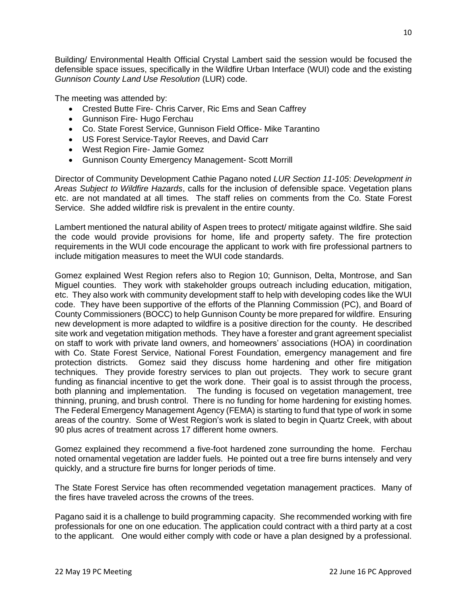Building/ Environmental Health Official Crystal Lambert said the session would be focused the defensible space issues, specifically in the Wildfire Urban Interface (WUI) code and the existing *Gunnison County Land Use Resolution* (LUR) code.

The meeting was attended by:

- Crested Butte Fire- Chris Carver, Ric Ems and Sean Caffrey
- Gunnison Fire- Hugo Ferchau
- Co. State Forest Service, Gunnison Field Office- Mike Tarantino
- US Forest Service-Taylor Reeves, and David Carr
- West Region Fire- Jamie Gomez
- Gunnison County Emergency Management- Scott Morrill

Director of Community Development Cathie Pagano noted *LUR Section 11-105*: *Development in Areas Subject to Wildfire Hazards*, calls for the inclusion of defensible space. Vegetation plans etc. are not mandated at all times. The staff relies on comments from the Co. State Forest Service. She added wildfire risk is prevalent in the entire county.

Lambert mentioned the natural ability of Aspen trees to protect/ mitigate against wildfire. She said the code would provide provisions for home, life and property safety. The fire protection requirements in the WUI code encourage the applicant to work with fire professional partners to include mitigation measures to meet the WUI code standards.

Gomez explained West Region refers also to Region 10; Gunnison, Delta, Montrose, and San Miguel counties. They work with stakeholder groups outreach including education, mitigation, etc. They also work with community development staff to help with developing codes like the WUI code. They have been supportive of the efforts of the Planning Commission (PC), and Board of County Commissioners (BOCC) to help Gunnison County be more prepared for wildfire. Ensuring new development is more adapted to wildfire is a positive direction for the county. He described site work and vegetation mitigation methods. They have a forester and grant agreement specialist on staff to work with private land owners, and homeowners' associations (HOA) in coordination with Co. State Forest Service, National Forest Foundation, emergency management and fire protection districts. Gomez said they discuss home hardening and other fire mitigation techniques. They provide forestry services to plan out projects. They work to secure grant funding as financial incentive to get the work done. Their goal is to assist through the process, both planning and implementation. The funding is focused on vegetation management, tree thinning, pruning, and brush control. There is no funding for home hardening for existing homes. The Federal Emergency Management Agency (FEMA) is starting to fund that type of work in some areas of the country. Some of West Region's work is slated to begin in Quartz Creek, with about 90 plus acres of treatment across 17 different home owners.

Gomez explained they recommend a five-foot hardened zone surrounding the home. Ferchau noted ornamental vegetation are ladder fuels. He pointed out a tree fire burns intensely and very quickly, and a structure fire burns for longer periods of time.

The State Forest Service has often recommended vegetation management practices. Many of the fires have traveled across the crowns of the trees.

Pagano said it is a challenge to build programming capacity. She recommended working with fire professionals for one on one education. The application could contract with a third party at a cost to the applicant. One would either comply with code or have a plan designed by a professional.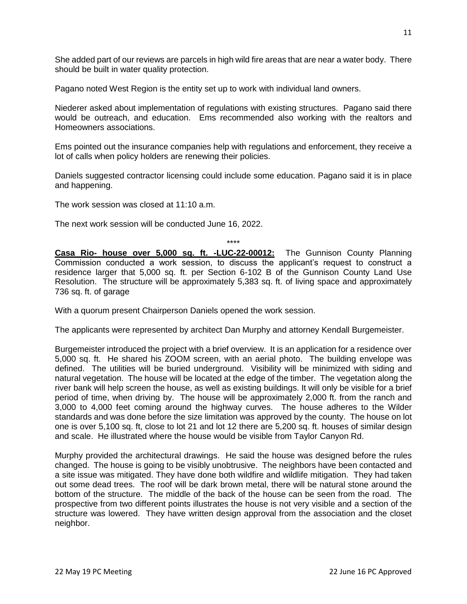She added part of our reviews are parcels in high wild fire areas that are near a water body. There should be built in water quality protection.

Pagano noted West Region is the entity set up to work with individual land owners.

Niederer asked about implementation of regulations with existing structures. Pagano said there would be outreach, and education. Ems recommended also working with the realtors and Homeowners associations.

Ems pointed out the insurance companies help with regulations and enforcement, they receive a lot of calls when policy holders are renewing their policies.

Daniels suggested contractor licensing could include some education. Pagano said it is in place and happening.

The work session was closed at 11:10 a.m.

The next work session will be conducted June 16, 2022.

\*\*\*\*

**Casa Rio- house over 5,000 sq. ft. -LUC-22-00012:** The Gunnison County Planning Commission conducted a work session, to discuss the applicant's request to construct a residence larger that 5,000 sq. ft. per Section 6-102 B of the Gunnison County Land Use Resolution. The structure will be approximately 5,383 sq. ft. of living space and approximately 736 sq. ft. of garage

With a quorum present Chairperson Daniels opened the work session.

The applicants were represented by architect Dan Murphy and attorney Kendall Burgemeister.

Burgemeister introduced the project with a brief overview. It is an application for a residence over 5,000 sq. ft. He shared his ZOOM screen, with an aerial photo. The building envelope was defined. The utilities will be buried underground. Visibility will be minimized with siding and natural vegetation. The house will be located at the edge of the timber. The vegetation along the river bank will help screen the house, as well as existing buildings. It will only be visible for a brief period of time, when driving by. The house will be approximately 2,000 ft. from the ranch and 3,000 to 4,000 feet coming around the highway curves. The house adheres to the Wilder standards and was done before the size limitation was approved by the county. The house on lot one is over 5,100 sq. ft, close to lot 21 and lot 12 there are 5,200 sq. ft. houses of similar design and scale. He illustrated where the house would be visible from Taylor Canyon Rd.

Murphy provided the architectural drawings. He said the house was designed before the rules changed. The house is going to be visibly unobtrusive. The neighbors have been contacted and a site issue was mitigated. They have done both wildfire and wildlife mitigation. They had taken out some dead trees. The roof will be dark brown metal, there will be natural stone around the bottom of the structure. The middle of the back of the house can be seen from the road. The prospective from two different points illustrates the house is not very visible and a section of the structure was lowered. They have written design approval from the association and the closet neighbor.